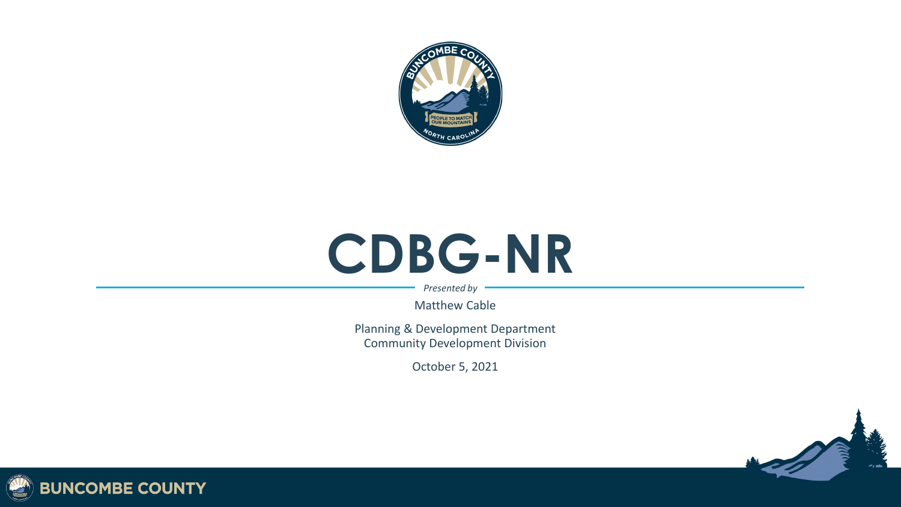

# **CDBG -NR**

*Presented by*

Matthew Cable

Planning & Development Department Community Development Division

October 5, 2021



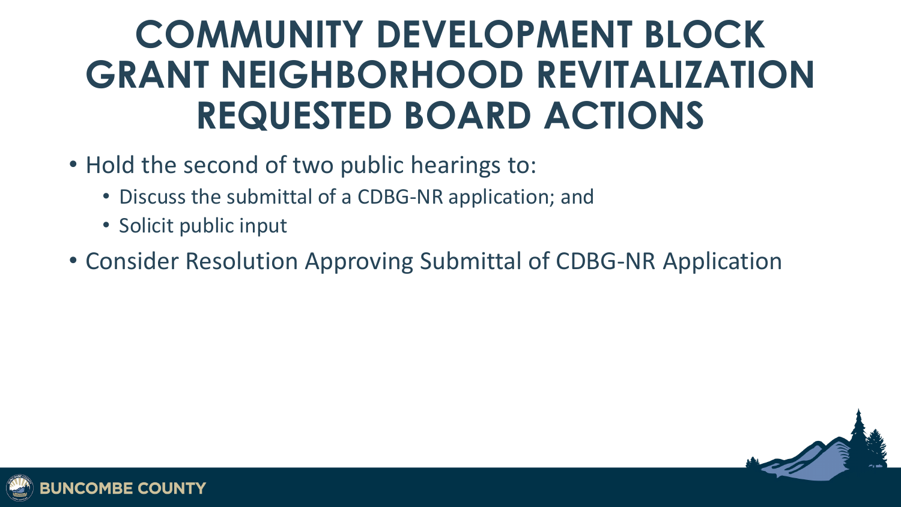### **COMMUNITY DEVELOPMENT BLOCK GRANT NEIGHBORHOOD REVITALIZATION REQUESTED BOARD ACTIONS**

- Hold the second of two public hearings to:
	- Discuss the submittal of a CDBG-NR application; and
	- Solicit public input
- Consider Resolution Approving Submittal of CDBG-NR Application



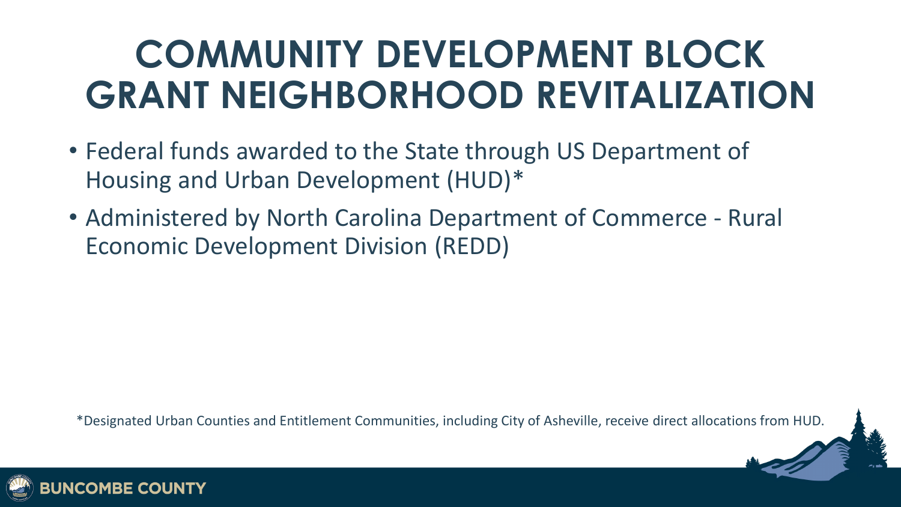### **COMMUNITY DEVELOPMENT BLOCK GRANT NEIGHBORHOOD REVITALIZATION**

- Federal funds awarded to the State through US Department of Housing and Urban Development (HUD)\*
- Administered by North Carolina Department of Commerce Rural Economic Development Division (REDD)

\*Designated Urban Counties and Entitlement Communities, including City of Asheville, receive direct allocations from HUD.

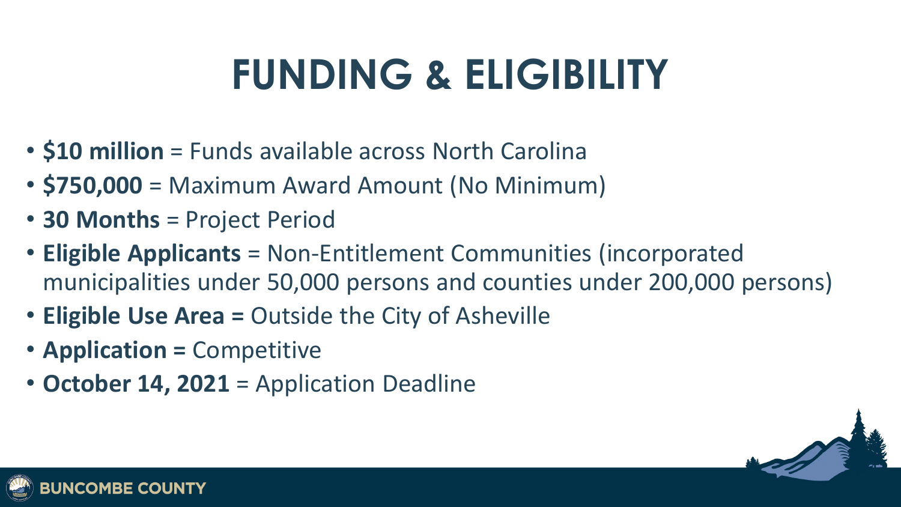# **FUNDING & ELIGIBILITY**

- **\$10 million** = Funds available across North Carolina
- **\$750,000** = Maximum Award Amount (No Minimum)
- **30 Months** = Project Period
- **Eligible Applicants** = Non-Entitlement Communities (incorporated municipalities under 50,000 persons and counties under 200,000 persons)
- **Eligible Use Area =** Outside the City of Asheville
- **Application =** Competitive
- **October 14, 2021** = Application Deadline



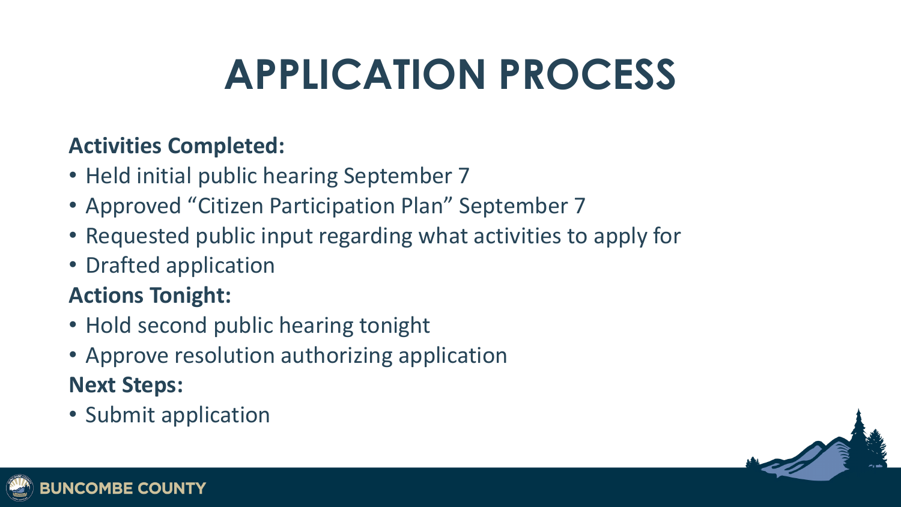# **APPLICATION PROCESS**

#### **Activities Completed:**

- Held initial public hearing September 7
- Approved "Citizen Participation Plan" September 7
- Requested public input regarding what activities to apply for
- Drafted application

#### **Actions Tonight:**

- Hold second public hearing tonight
- Approve resolution authorizing application **Next Steps:**
- Submit application



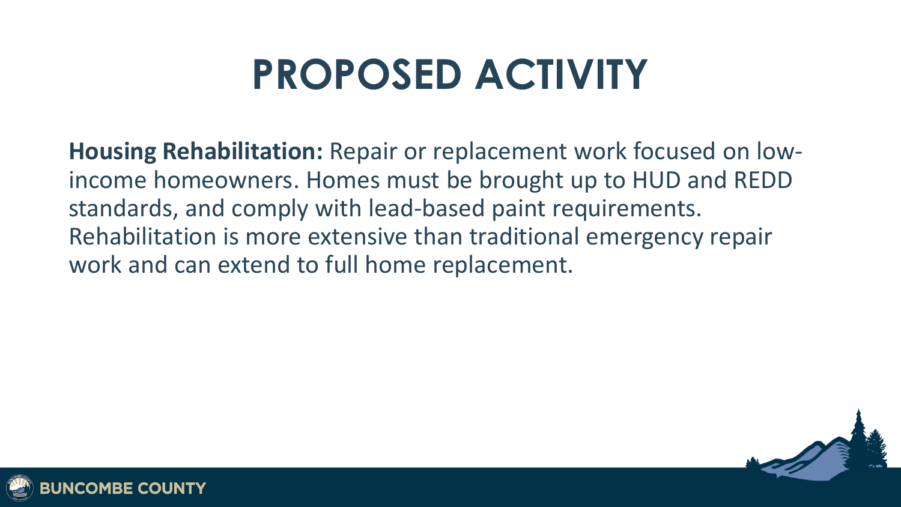### **PROPOSED ACTIVITY**

**Housing Rehabilitation:** Repair or replacement work focused on lowincome homeowners. Homes must be brought up to HUD and REDD standards, and comply with lead-based paint requirements. Rehabilitation is more extensive than traditional emergency repair work and can extend to full home replacement.



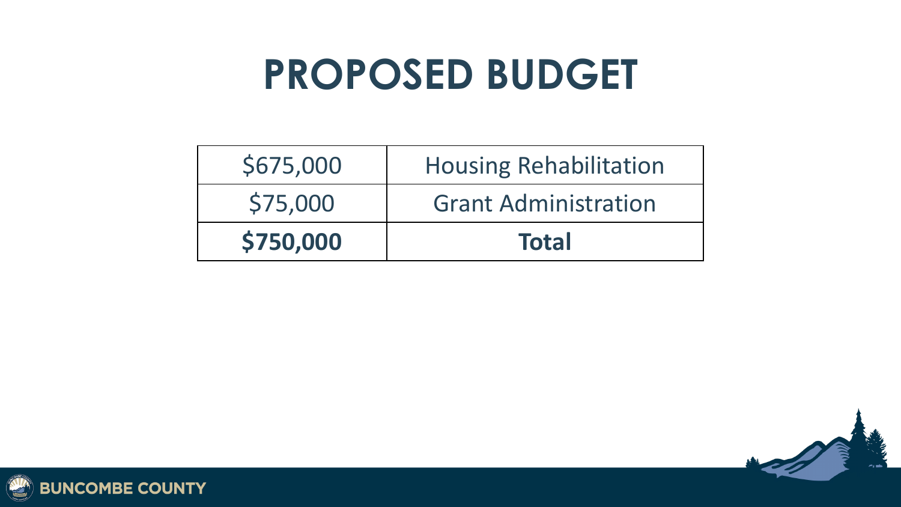### **PROPOSED BUDGET**

| \$675,000 | <b>Housing Rehabilitation</b> |
|-----------|-------------------------------|
| \$75,000  | <b>Grant Administration</b>   |
| \$750,000 | <b>Total</b>                  |